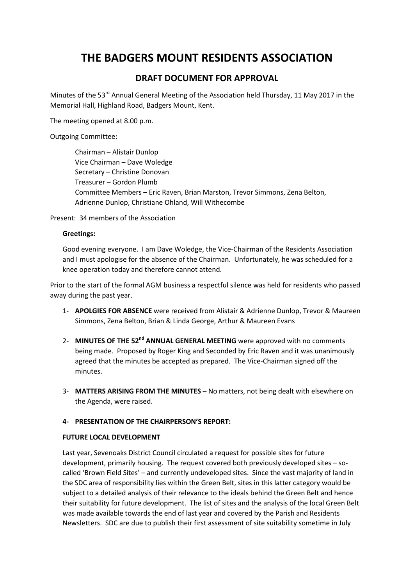# THE BADGERS MOUNT RESIDENTS ASSOCIATION

# DRAFT DOCUMENT FOR APPROVAL

Minutes of the 53<sup>rd</sup> Annual General Meeting of the Association held Thursday, 11 May 2017 in the Memorial Hall, Highland Road, Badgers Mount, Kent.

The meeting opened at 8.00 p.m.

Outgoing Committee:

Chairman – Alistair Dunlop Vice Chairman – Dave Woledge Secretary – Christine Donovan Treasurer – Gordon Plumb Committee Members – Eric Raven, Brian Marston, Trevor Simmons, Zena Belton, Adrienne Dunlop, Christiane Ohland, Will Withecombe

Present: 34 members of the Association

#### Greetings:

Good evening everyone. I am Dave Woledge, the Vice-Chairman of the Residents Association and I must apologise for the absence of the Chairman. Unfortunately, he was scheduled for a knee operation today and therefore cannot attend.

Prior to the start of the formal AGM business a respectful silence was held for residents who passed away during the past year.

- 1- APOLGIES FOR ABSENCE were received from Alistair & Adrienne Dunlop, Trevor & Maureen Simmons, Zena Belton, Brian & Linda George, Arthur & Maureen Evans
- 2- MINUTES OF THE 52<sup>nd</sup> ANNUAL GENERAL MEETING were approved with no comments being made. Proposed by Roger King and Seconded by Eric Raven and it was unanimously agreed that the minutes be accepted as prepared. The Vice-Chairman signed off the minutes.
- 3- MATTERS ARISING FROM THE MINUTES No matters, not being dealt with elsewhere on the Agenda, were raised.

### 4- PRESENTATION OF THE CHAIRPERSON'S REPORT:

#### FUTURE LOCAL DEVELOPMENT

Last year, Sevenoaks District Council circulated a request for possible sites for future development, primarily housing. The request covered both previously developed sites – socalled 'Brown Field Sites' – and currently undeveloped sites. Since the vast majority of land in the SDC area of responsibility lies within the Green Belt, sites in this latter category would be subject to a detailed analysis of their relevance to the ideals behind the Green Belt and hence their suitability for future development. The list of sites and the analysis of the local Green Belt was made available towards the end of last year and covered by the Parish and Residents Newsletters. SDC are due to publish their first assessment of site suitability sometime in July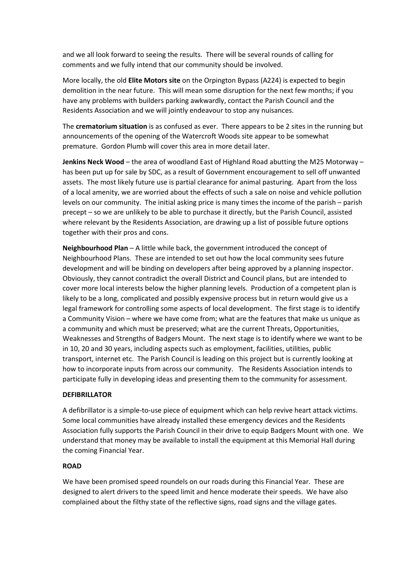and we all look forward to seeing the results. There will be several rounds of calling for comments and we fully intend that our community should be involved.

More locally, the old Elite Motors site on the Orpington Bypass (A224) is expected to begin demolition in the near future. This will mean some disruption for the next few months; if you have any problems with builders parking awkwardly, contact the Parish Council and the Residents Association and we will jointly endeavour to stop any nuisances.

The **crematorium situation** is as confused as ever. There appears to be 2 sites in the running but announcements of the opening of the Watercroft Woods site appear to be somewhat premature. Gordon Plumb will cover this area in more detail later.

Jenkins Neck Wood – the area of woodland East of Highland Road abutting the M25 Motorway – has been put up for sale by SDC, as a result of Government encouragement to sell off unwanted assets. The most likely future use is partial clearance for animal pasturing. Apart from the loss of a local amenity, we are worried about the effects of such a sale on noise and vehicle pollution levels on our community. The initial asking price is many times the income of the parish – parish precept – so we are unlikely to be able to purchase it directly, but the Parish Council, assisted where relevant by the Residents Association, are drawing up a list of possible future options together with their pros and cons.

Neighbourhood Plan – A little while back, the government introduced the concept of Neighbourhood Plans. These are intended to set out how the local community sees future development and will be binding on developers after being approved by a planning inspector. Obviously, they cannot contradict the overall District and Council plans, but are intended to cover more local interests below the higher planning levels. Production of a competent plan is likely to be a long, complicated and possibly expensive process but in return would give us a legal framework for controlling some aspects of local development. The first stage is to identify a Community Vision – where we have come from; what are the features that make us unique as a community and which must be preserved; what are the current Threats, Opportunities, Weaknesses and Strengths of Badgers Mount. The next stage is to identify where we want to be in 10, 20 and 30 years, including aspects such as employment, facilities, utilities, public transport, internet etc. The Parish Council is leading on this project but is currently looking at how to incorporate inputs from across our community. The Residents Association intends to participate fully in developing ideas and presenting them to the community for assessment.

#### DEFIBRILLATOR

A defibrillator is a simple-to-use piece of equipment which can help revive heart attack victims. Some local communities have already installed these emergency devices and the Residents Association fully supports the Parish Council in their drive to equip Badgers Mount with one. We understand that money may be available to install the equipment at this Memorial Hall during the coming Financial Year.

#### ROAD

We have been promised speed roundels on our roads during this Financial Year. These are designed to alert drivers to the speed limit and hence moderate their speeds. We have also complained about the filthy state of the reflective signs, road signs and the village gates.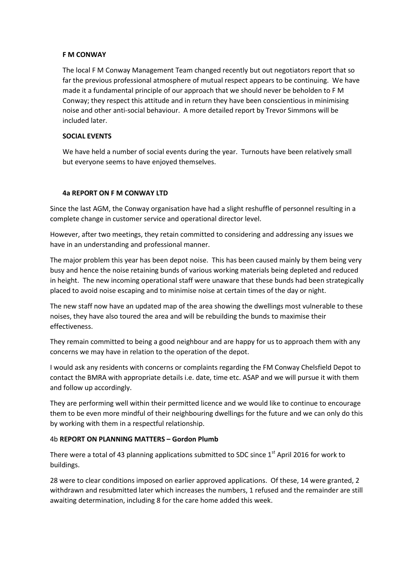#### F M CONWAY

The local F M Conway Management Team changed recently but out negotiators report that so far the previous professional atmosphere of mutual respect appears to be continuing. We have made it a fundamental principle of our approach that we should never be beholden to F M Conway; they respect this attitude and in return they have been conscientious in minimising noise and other anti-social behaviour. A more detailed report by Trevor Simmons will be included later.

#### SOCIAL EVENTS

We have held a number of social events during the year. Turnouts have been relatively small but everyone seems to have enjoyed themselves.

#### 4a REPORT ON F M CONWAY LTD

Since the last AGM, the Conway organisation have had a slight reshuffle of personnel resulting in a complete change in customer service and operational director level.

However, after two meetings, they retain committed to considering and addressing any issues we have in an understanding and professional manner.

The major problem this year has been depot noise. This has been caused mainly by them being very busy and hence the noise retaining bunds of various working materials being depleted and reduced in height. The new incoming operational staff were unaware that these bunds had been strategically placed to avoid noise escaping and to minimise noise at certain times of the day or night.

The new staff now have an updated map of the area showing the dwellings most vulnerable to these noises, they have also toured the area and will be rebuilding the bunds to maximise their effectiveness.

They remain committed to being a good neighbour and are happy for us to approach them with any concerns we may have in relation to the operation of the depot.

I would ask any residents with concerns or complaints regarding the FM Conway Chelsfield Depot to contact the BMRA with appropriate details i.e. date, time etc. ASAP and we will pursue it with them and follow up accordingly.

They are performing well within their permitted licence and we would like to continue to encourage them to be even more mindful of their neighbouring dwellings for the future and we can only do this by working with them in a respectful relationship.

#### 4b REPORT ON PLANNING MATTERS – Gordon Plumb

There were a total of 43 planning applications submitted to SDC since 1<sup>st</sup> April 2016 for work to buildings.

28 were to clear conditions imposed on earlier approved applications. Of these, 14 were granted, 2 withdrawn and resubmitted later which increases the numbers, 1 refused and the remainder are still awaiting determination, including 8 for the care home added this week.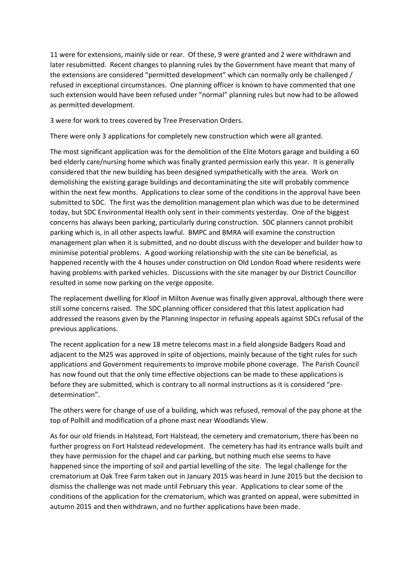11 were for extensions, mainly side or rear. Of these, 9 were granted and 2 were withdrawn and later resubmitted. Recent changes to planning rules by the Government have meant that many of the extensions are considered "permitted development" which can normally only be challenged / refused in exceptional circumstances. One planning officer is known to have commented that one such extension would have been refused under "normal" planning rules but now had to be allowed as permitted development.

3 were for work to trees covered by Tree Preservation Orders.

There were only 3 applications for completely new construction which were all granted.

The most significant application was for the demolition of the Elite Motors garage and building a 60 bed elderly care/nursing home which was finally granted permission early this year. It is generally considered that the new building has been designed sympathetically with the area. Work on demolishing the existing garage buildings and decontaminating the site will probably commence within the next few months. Applications to clear some of the conditions in the approval have been submitted to SDC. The first was the demolition management plan which was due to be determined today, but SDC Environmental Health only sent in their comments yesterday. One of the biggest concerns has always been parking, particularly during construction. SDC planners cannot prohibit parking which is, in all other aspects lawful. BMPC and BMRA will examine the construction management plan when it is submitted, and no doubt discuss with the developer and builder how to minimise potential problems. A good working relationship with the site can be beneficial, as happened recently with the 4 houses under construction on Old London Road where residents were having problems with parked vehicles. Discussions with the site manager by our District Councillor resulted in some now parking on the verge opposite.

The replacement dwelling for Kloof in Milton Avenue was finally given approval, although there were still some concerns raised. The SDC planning officer considered that this latest application had addressed the reasons given by the Planning Inspector in refusing appeals against SDCs refusal of the previous applications.

The recent application for a new 18 metre telecoms mast in a field alongside Badgers Road and adjacent to the M25 was approved in spite of objections, mainly because of the tight rules for such applications and Government requirements to improve mobile phone coverage. The Parish Council has now found out that the only time effective objections can be made to these applications is before they are submitted, which is contrary to all normal instructions as it is considered "predetermination".

The others were for change of use of a building, which was refused, removal of the pay phone at the top of Polhill and modification of a phone mast near Woodlands View.

As for our old friends in Halstead, Fort Halstead, the cemetery and crematorium, there has been no further progress on Fort Halstead redevelopment. The cemetery has had its entrance walls built and they have permission for the chapel and car parking, but nothing much else seems to have happened since the importing of soil and partial levelling of the site. The legal challenge for the crematorium at Oak Tree Farm taken out in January 2015 was heard in June 2015 but the decision to dismiss the challenge was not made until February this year. Applications to clear some of the conditions of the application for the crematorium, which was granted on appeal, were submitted in autumn 2015 and then withdrawn, and no further applications have been made.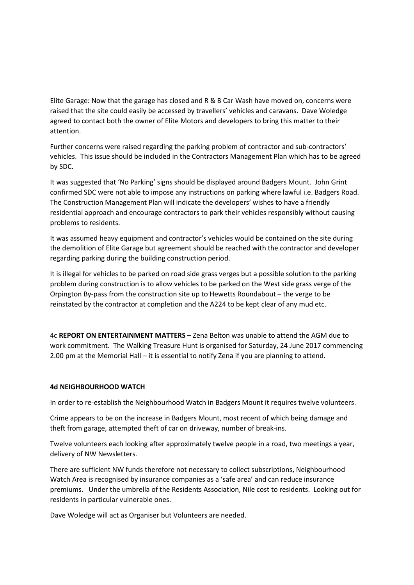Elite Garage: Now that the garage has closed and R & B Car Wash have moved on, concerns were raised that the site could easily be accessed by travellers' vehicles and caravans. Dave Woledge agreed to contact both the owner of Elite Motors and developers to bring this matter to their attention.

Further concerns were raised regarding the parking problem of contractor and sub-contractors' vehicles. This issue should be included in the Contractors Management Plan which has to be agreed by SDC.

It was suggested that 'No Parking' signs should be displayed around Badgers Mount. John Grint confirmed SDC were not able to impose any instructions on parking where lawful i.e. Badgers Road. The Construction Management Plan will indicate the developers' wishes to have a friendly residential approach and encourage contractors to park their vehicles responsibly without causing problems to residents.

It was assumed heavy equipment and contractor's vehicles would be contained on the site during the demolition of Elite Garage but agreement should be reached with the contractor and developer regarding parking during the building construction period.

It is illegal for vehicles to be parked on road side grass verges but a possible solution to the parking problem during construction is to allow vehicles to be parked on the West side grass verge of the Orpington By-pass from the construction site up to Hewetts Roundabout – the verge to be reinstated by the contractor at completion and the A224 to be kept clear of any mud etc.

4c REPORT ON ENTERTAINMENT MATTERS – Zena Belton was unable to attend the AGM due to work commitment. The Walking Treasure Hunt is organised for Saturday, 24 June 2017 commencing 2.00 pm at the Memorial Hall – it is essential to notify Zena if you are planning to attend.

#### 4d NEIGHBOURHOOD WATCH

In order to re-establish the Neighbourhood Watch in Badgers Mount it requires twelve volunteers.

Crime appears to be on the increase in Badgers Mount, most recent of which being damage and theft from garage, attempted theft of car on driveway, number of break-ins.

Twelve volunteers each looking after approximately twelve people in a road, two meetings a year, delivery of NW Newsletters.

There are sufficient NW funds therefore not necessary to collect subscriptions, Neighbourhood Watch Area is recognised by insurance companies as a 'safe area' and can reduce insurance premiums. Under the umbrella of the Residents Association, Nile cost to residents. Looking out for residents in particular vulnerable ones.

Dave Woledge will act as Organiser but Volunteers are needed.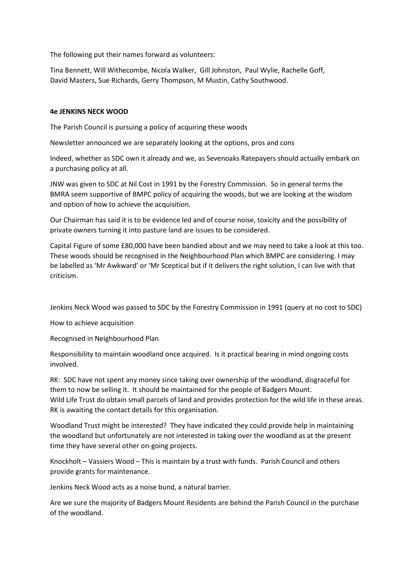The following put their names forward as volunteers:

Tina Bennett, Will Withecombe, Nicola Walker, Gill Johnston, Paul Wylie, Rachelle Goff, David Masters, Sue Richards, Gerry Thompson, M Mustin, Cathy Southwood.

#### 4e JENKINS NECK WOOD

The Parish Council is pursuing a policy of acquiring these woods

Newsletter announced we are separately looking at the options, pros and cons

Indeed, whether as SDC own it already and we, as Sevenoaks Ratepayers should actually embark on a purchasing policy at all.

JNW was given to SDC at Nil Cost in 1991 by the Forestry Commission. So in general terms the BMRA seem supportive of BMPC policy of acquiring the woods, but we are looking at the wisdom and option of how to achieve the acquisition.

Our Chairman has said it is to be evidence led and of course noise, toxicity and the possibility of private owners turning it into pasture land are issues to be considered.

Capital Figure of some £80,000 have been bandied about and we may need to take a look at this too. These woods should be recognised in the Neighbourhood Plan which BMPC are considering. I may be labelled as 'Mr Awkward' or 'Mr Sceptical but if it delivers the right solution, I can live with that criticism.

Jenkins Neck Wood was passed to SDC by the Forestry Commission in 1991 (query at no cost to SDC)

How to achieve acquisition

Recognised in Neighbourhood Plan

Responsibility to maintain woodland once acquired. Is it practical bearing in mind ongoing costs involved.

RK: SDC have not spent any money since taking over ownership of the woodland, disgraceful for them to now be selling it. It should be maintained for the people of Badgers Mount. Wild Life Trust do obtain small parcels of land and provides protection for the wild life in these areas. RK is awaiting the contact details for this organisation.

Woodland Trust might be interested? They have indicated they could provide help in maintaining the woodland but unfortunately are not interested in taking over the woodland as at the present time they have several other on-going projects.

Knockholt – Vassiers Wood – This is maintain by a trust with funds. Parish Council and others provide grants for maintenance.

Jenkins Neck Wood acts as a noise bund, a natural barrier.

Are we sure the majority of Badgers Mount Residents are behind the Parish Council in the purchase of the woodland.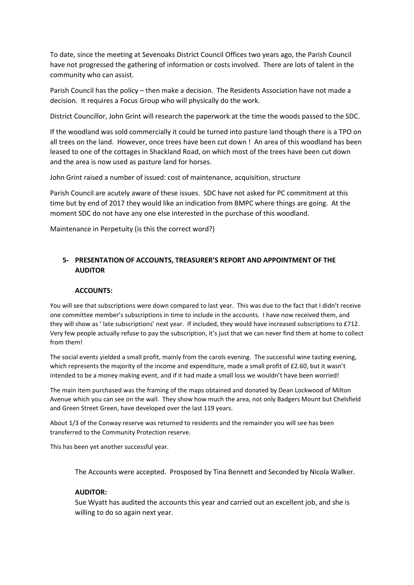To date, since the meeting at Sevenoaks District Council Offices two years ago, the Parish Council have not progressed the gathering of information or costs involved. There are lots of talent in the community who can assist.

Parish Council has the policy – then make a decision. The Residents Association have not made a decision. It requires a Focus Group who will physically do the work.

District Councillor, John Grint will research the paperwork at the time the woods passed to the SDC.

If the woodland was sold commercially it could be turned into pasture land though there is a TPO on all trees on the land. However, once trees have been cut down ! An area of this woodland has been leased to one of the cottages in Shackland Road, on which most of the trees have been cut down and the area is now used as pasture land for horses.

John Grint raised a number of issued: cost of maintenance, acquisition, structure

Parish Council are acutely aware of these issues. SDC have not asked for PC commitment at this time but by end of 2017 they would like an indication from BMPC where things are going. At the moment SDC do not have any one else interested in the purchase of this woodland.

Maintenance in Perpetuity (is this the correct word?)

## 5- PRESENTATION OF ACCOUNTS, TREASURER'S REPORT AND APPOINTMENT OF THE AUDITOR

#### ACCOUNTS:

You will see that subscriptions were down compared to last year. This was due to the fact that I didn't receive one committee member's subscriptions in time to include in the accounts. I have now received them, and they will show as ' late subscriptions' next year. If included, they would have increased subscriptions to £712. Very few people actually refuse to pay the subscription, it's just that we can never find them at home to collect from them!

The social events yielded a small profit, mainly from the carols evening. The successful wine tasting evening, which represents the majority of the income and expenditure, made a small profit of £2.60, but it wasn't intended to be a money making event, and if it had made a small loss we wouldn't have been worried!

The main item purchased was the framing of the maps obtained and donated by Dean Lockwood of Milton Avenue which you can see on the wall. They show how much the area, not only Badgers Mount but Chelsfield and Green Street Green, have developed over the last 119 years.

About 1/3 of the Conway reserve was returned to residents and the remainder you will see has been transferred to the Community Protection reserve.

This has been yet another successful year.

The Accounts were accepted. Prosposed by Tina Bennett and Seconded by Nicola Walker.

#### AUDITOR:

Sue Wyatt has audited the accounts this year and carried out an excellent job, and she is willing to do so again next year.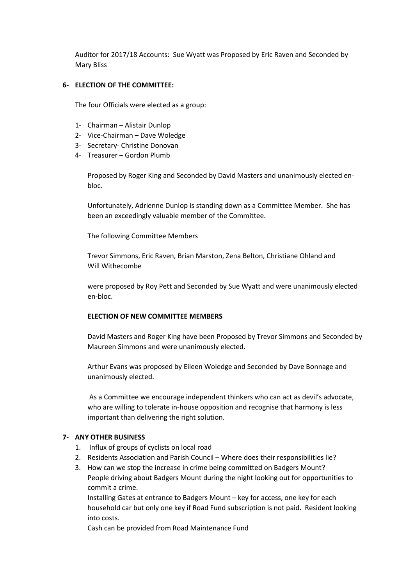Auditor for 2017/18 Accounts: Sue Wyatt was Proposed by Eric Raven and Seconded by Mary Bliss

#### 6- ELECTION OF THE COMMITTEE:

The four Officials were elected as a group:

- 1- Chairman Alistair Dunlop
- 2- Vice-Chairman Dave Woledge
- 3- Secretary- Christine Donovan
- 4- Treasurer Gordon Plumb

Proposed by Roger King and Seconded by David Masters and unanimously elected enbloc.

Unfortunately, Adrienne Dunlop is standing down as a Committee Member. She has been an exceedingly valuable member of the Committee.

The following Committee Members

Trevor Simmons, Eric Raven, Brian Marston, Zena Belton, Christiane Ohland and Will Withecombe

were proposed by Roy Pett and Seconded by Sue Wyatt and were unanimously elected en-bloc.

#### ELECTION OF NEW COMMITTEE MEMBERS

David Masters and Roger King have been Proposed by Trevor Simmons and Seconded by Maureen Simmons and were unanimously elected.

Arthur Evans was proposed by Eileen Woledge and Seconded by Dave Bonnage and unanimously elected.

 As a Committee we encourage independent thinkers who can act as devil's advocate, who are willing to tolerate in-house opposition and recognise that harmony is less important than delivering the right solution.

#### 7- ANY OTHER BUSINESS

- 1. Influx of groups of cyclists on local road
- 2. Residents Association and Parish Council Where does their responsibilities lie?
- 3. How can we stop the increase in crime being committed on Badgers Mount? People driving about Badgers Mount during the night looking out for opportunities to commit a crime.

Installing Gates at entrance to Badgers Mount – key for access, one key for each household car but only one key if Road Fund subscription is not paid. Resident looking into costs.

Cash can be provided from Road Maintenance Fund